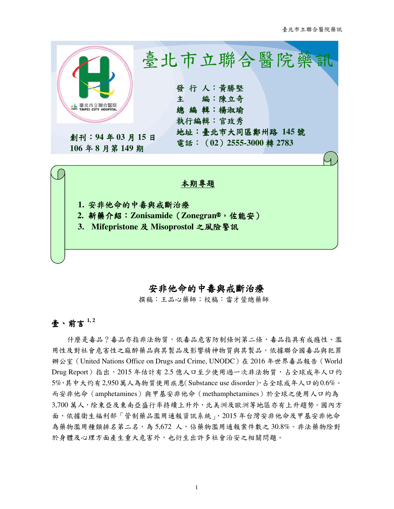

# 安非他命的中毒與戒斷治療

撰稿:王品心藥師;校稿:雷才萱總藥師

# 壹、前言 **1, 2**

什麼是毒品?毒品亦指非法物質,依毒品危害防制條例第二條,毒品指具有成癮性、濫 用性及對社會危害性之麻醉藥品與其製品及影響精神物質與其製品。依據聯合國毒品與犯罪 辦公室(United Nations Office on Drugs and Crime, UNODC)在 2016 年世界毒品報告(World Drug Report)指出,2015年估計有 2.5 億人口至少使用過一次非法物質,占全球成年人口约 5%,其中大约有2,950萬人為物質使用疾患(Substance use disorder),占全球成年人口的0.6%。 而安非他命(amphetamines)與甲基安非他命(methamphetamines)於全球之使用人口約為 3,700萬人,除東亞及東南亞盛行率持續上升外,北美洲及歐洲等地區亦有上升趨勢。國內方 面,依據衛生福利部「管制藥品濫用通報資訊系統」,2015 年台灣安非他命及甲基安非他命 為藥物濫用種類排名第二名,為 5,672 人,佔藥物濫用通報案件數之 30.8%。非法藥物除對 於身體及心理方面產生重大危害外,也衍生出許多社會治安之相關問題。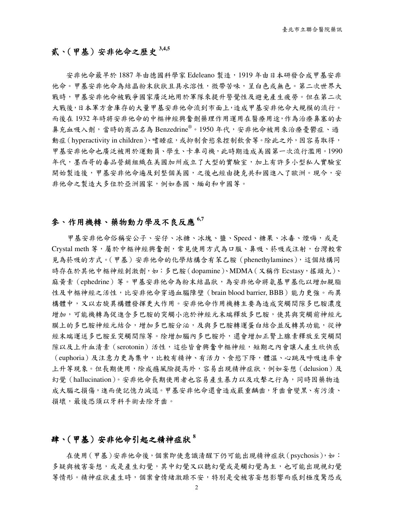# 貳、(甲基)安非他命之歷史 安非他命之歷史 **3,4,5**

安非他命最早於 1887 年由德國科學家 Edeleano 製造,1919 年由日本研發合成甲基安非 他命。甲基安非他命為結晶粉末狀狀且具水溶性,微帶苦味,呈白色或無色。第二次世界大 戰時,甲基安非他命被戰爭國家廣泛地用於軍隊來提升警覺性及避免產生疲勞。但在第二次 大戰後,日本軍方倉庫存的大量甲基安非他命流到市面上,造成甲基安非他命大規模的流行。 而後在 1932 年時將安非他命的中樞神經興奮劑藥理作用運用在醫療用途,作為治療鼻塞的去 鼻充血吸入劑,當時的商品名為 Benzedrine®。1950 年代,安非他命被用來治療憂鬱症、過 動症(hyperactivity in children)、嗜睡症,或抑制食慾來控制飲食等。除此之外,因容易取得, 甲基安非他命也廣泛被用於運動員、學生、卡車司機,此時期造成美國第一次流行濫用。1990 年代,墨西哥的毒品營銷組織在美國加州成立了大型的實驗室,加上有許多小型私人實驗室 開始製造後,甲基安非他命遍及到整個美國,之後也經由捷克共和國進入了歐洲。現今,安 非他命之製造大多位於亞洲國家,例如泰國、緬甸和中國等。

### 參、作用機轉、藥物動力學及不良反應 **6,7**

甲基安非他命俗稱安公子、安仔、冰糖、冰塊、鹽、Speed、糖果、冰毒、煙嗨,或是 Crystal meth 等,屬於中樞神經興奮劑,常見使用方式為口服、鼻吸、菸吸或注射,台灣較常 見為菸吸的方式。(甲基)安非他命的化學結構含有苯乙胺(phenethylamines),這個結構同 時存在於其他中樞神經刺激劑,如:多巴胺(dopamine)、MDMA(又稱作 Ecstasy,搖頭丸)、 麻黃素(ephedrine)等。甲基安非他命為粉末結晶狀,為安非他命將氨基甲基化以增加親脂 性及中樞神經之活性,比安非他命穿過血腦障壁(brain blood barrier, BBB)能力更強。而異 構體中,又以右旋異構體發揮更大作用。安非他命作用機轉主要為造成突觸間隙多巴胺濃度 增加,可能機轉為促進含多巴胺的突觸小泡於神經元末端釋放多巴胺,使其與突觸前神經元 膜上的多巴胺神經元結合,增加多巴胺分泌,及與多巴胺轉運蛋白結合並反轉其功能,從神 經末端運送多巴胺至突觸間隙等。除增加腦內多巴胺外,還會增加正腎上腺素釋放至突觸間 隙以及上升血清素(serotonin)活性,這些皆會興奮中樞神經,短期之內會讓人產生欣快感 (euphoria)及注意力更為集中,比較有精神、有活力、食慾下降,體溫、心跳及呼吸速率會 上升等現象。但長期使用,除成癮風險提高外,容易出現精神症狀,例如妄想(delusion)及 幻覺(hallucination)。安非他命長期使用者也容易產生暴力以及攻擊之行為,同時因藥物造 成大腦之損傷,進而使記憶力減退。甲基安非他命還會造成嚴重齲齒,牙齒會變黑、有污漬、 損壞,最後恐須以牙科手術去除牙齒。

# 肆、(甲基)安非他命引起之精神症狀<sup>8</sup>

在使用(甲基)安非他命後,個案即使意識清醒下仍可能出現精神症狀(psychosis),如: 多疑與被害妄想,或是產生幻覺,其中幻覺又以聽幻覺或是觸幻覺為主,也可能出現視幻覺 等情形。精神症狀產生時,個案會情緒激躁不安,特別是受被害妄想影響而感到極度驚恐或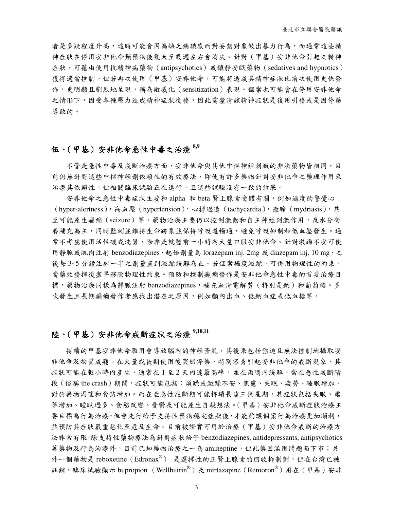者是多疑程度升高,這時可能會因為缺乏病識感而對妄想對象做出暴力行為,而通常這些精 神症狀在停用安非他命類藥物後幾天至幾週左右會消失。針對(甲基)安非他命引起之精神 症狀,可藉由使用抗精神病藥物 (antipsychotics) 或鎮靜安眠藥物 (sedatives and hypnotics) 獲得適當控制。但若再次使用(甲基)安非他命,可能將造成其精神症狀比前次使用更快發 作,更明顯且劇烈地呈現,稱為敏感化(sensitization)表現。個案也可能會在停用安非他命 之情形下,因受各種壓力造成精神症狀復發,因此需釐清該精神症狀是復用引發或是因停藥 導致的。

## 伍、(甲基)安非他命急性中毒之治療<sup>8,9</sup>

不管是急性中毒及戒斷治療方面,安非他命與其他中樞神經刺激的非法藥物皆相同,目 前仍無針對這些中樞神經劑依賴性的有效療法,即使有許多藥物針對安非他命之藥理作用來 治療其依賴性,但相關臨床試驗正在進行,且這些試驗沒有一致的結果。

安非他命之急性中毒症狀主要和 alpha 和 beta 腎上腺素受體有關,例如過度的警覺心 (hyper-alertness),高血壓(hypertension),心搏過速(tachycardia),散瞳(mydriasis),甚 至可能產生癲癇(seizure)等。藥物治療主要仍以控制激動和自主神經刺激作用,及水分營 養補充為主,同時監測並維持生命跡象並保持呼吸道暢通,避免呼吸抑制和低血壓發生。通 常不考慮使用活性碳或洗胃,除非是就醫前一小時內大量口服安非他命。針對激躁不安可使 用靜脈或肌肉注射 benzodiazepines,起始劑量為 lorazepam inj. 2mg 或 diazepam inj. 10 mg,之 後每3~5分鐘注射一半之劑量直到激躁緩解為止。若個案極度激躁,可併用物理性的約束, 當藥效發揮後盡早移除物理性約束。預防和控制癲癇發作是安非他命急性中毒的首要治療目 標,藥物治療同樣為靜脈注射 benzodiazepines,補充血清電解質(特別是鈉)和葡萄糖。多 次發生且長期癲癇發作者應找出潛在之原因,例如顱內出血、低鈉血症或低血糖等。

# 陸、(甲基)安非他命戒斷症狀之治療 9,10,11

持續的甲基安非他命濫用會導致腦內的神經紊亂,其後果包括強迫且無法控制地攝取安 非他命及物質成癮。在大量或長期使用後突然停藥,特別容易引起安非他命的戒斷現象,其 症狀可能在數小時內產生,通常在1至2天內達最高峰,並在兩週內緩解。當在急性戒斷階 段(俗稱 the crash)期間,症狀可能包括:煩躁或激躁不安、焦慮、失眠、疲勞、睡眠增加、 對於藥物渴望和食慾增加。而在亞急性戒斷期可能持續長達三個星期,其症狀包括失眠、噩 夢增加、睡眠過多、食慾改變、憂鬱及可能產生自殺想法。(甲基)安非他命戒斷症狀治療主 要目標為行為治療,但會先行給予支持性藥物穩定症狀後,才能夠讓個案行為治療更加順利, 並預防其症狀嚴重惡化至危及生命。目前被證實可用於治療(甲基)安非他命戒斷的治療方 法非常有限,除支持性藥物療法為針對症狀給予 benzodiazepines, antidepressants, antipsychotics 等藥物及行為治療外,目前已知藥物治療之一為 amineptine,但此藥因濫用問題而下市;另 外一個藥物是 reboxetine (Edronax®) 是選擇性的正腎上腺素的回收抑制劑,但在台灣已被 註銷。臨床試驗顯示 bupropion (Wellbutrin®)及 mirtazapine(Remoron®)用在(甲基)安非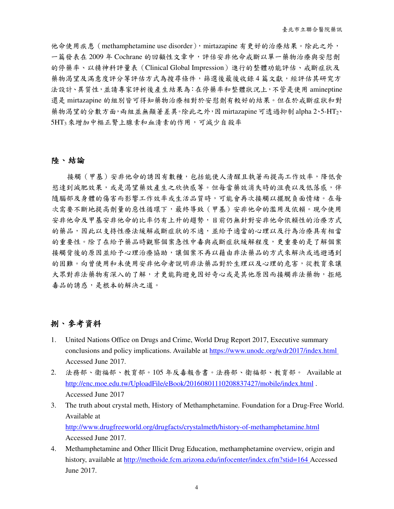他命使用疾患(methamphetamine use disorder), mirtazapine 有更好的治療結果。除此之外, 一篇發表在 2009 年 Cochrane 的回顧性文章中,評估安非他命戒斷以單一藥物治療與安慰劑 的停藥率、以精神科評量表(Clinical Global Impression)進行的整體功能評估、戒斷症狀及 藥物渴望及滿意度評分等評估方式為搜尋條件,篩選後最後收錄4篇文獻,經評估其研究方 法設計、異質性,並請專家評析後產生結果為:在停藥率和整體狀況上,不管是使用 amineptine 還是 mirtazapine 的組別皆可得知藥物治療相對於安慰劑有較好的結果。但在於戒斷症狀和對 藥物渴望的分數方面,兩組並無顯著差異。除此之外,因 mirtazapine可透過抑制 alpha 2、5-HT2、 5HT3 來增加中樞正腎上腺素和血清素的作用,可減少自殺率

### 陸、結論

接觸(甲基)安非他命的誘因有數種,包括能使人清醒且執著而提高工作效率,降低食 慾達到減肥效果,或是渴望藥效產生之欣快感等。但每當藥效消失時的沮喪以及低落感,伴 隨腦部及身體的傷害而影響工作效率或生活品質時,可能會再次接觸以擺脫負面情緒。在每 次需要不斷地提高劑量的惡性循環下,最終導致(甲基)安非他命的濫用及依賴。現今使用 安非他命及甲基安非他命的比率仍有上升的趨勢,目前仍無針對安非他命依賴性的治療方式 的藥品,因此以支持性療法緩解戒斷症狀的不適,並給予適當的心理以及行為治療具有相當 的重要性。除了在給予藥品時觀察個案急性中毒與戒斷症狀緩解程度,更重要的是了解個案 接觸背後的原因並給予心理治療協助,讓個案不再以藉由非法藥品的方式來解決或逃避遇到 的困難。向曾使用和未使用安非他命者說明非法藥品對於生理以及心理的危害,從教育來讓 大眾對非法藥物有深入的了解,才更能夠避免因好奇心或是其他原因而接觸非法藥物,拒絕 毒品的誘惑,是根本的解決之道。

### 捌、參考資料

- 1. United Nations Office on Drugs and Crime, World Drug Report 2017, Executive summary conclusions and policy implications. Available at https://www.unodc.org/wdr2017/index.html Accessed June 2017.
- 2. 法務部、衛福部、教育部。105 年反毒報告書。法務部、衛福部、教育部。 Available at http://enc.moe.edu.tw/UploadFile/eBook/20160801110208837427/mobile/index.html . Accessed June 2017
- 3. The truth about crystal meth, History of Methamphetamine. Foundation for a Drug-Free World. Available at http://www.drugfreeworld.org/drugfacts/crystalmeth/history-of-methamphetamine.html Accessed June 2017.
- 4. Methamphetamine and Other Illicit Drug Education, methamphetamine overview, origin and history, available at http://methoide.fcm.arizona.edu/infocenter/index.cfm?stid=164 Accessed June 2017.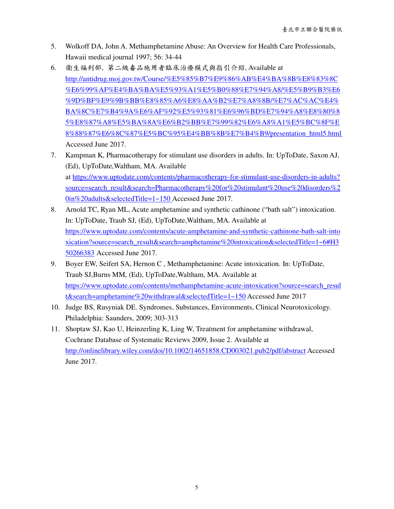- 5. Wolkoff DA, John A. Methamphetamine Abuse: An Overview for Health Care Professionals, Hawaii medical journal 1997; 56: 34-44
- 6. 衛生福利部, 第二級毒品施用者臨床治療模式與指引介紹, Available at http://antidrug.moj.gov.tw/Course/%E5%85%B7%E9%86%AB%E4%BA%8B%E8%83%8C %E6%99%AF%E4%BA%BA%E5%93%A1%E5%B0%88%E7%94%A8/%E5%B9%B3%E6 %9D%BF%E9%9B%BB%E8%85%A6%E8%AA%B2%E7%A8%8B/%E7%AC%AC%E4% BA%8C%E7%B4%9A%E6%AF%92%E5%93%81%E6%96%BD%E7%94%A8%E8%80%8 5%E8%87%A8%E5%BA%8A%E6%B2%BB%E7%99%82%E6%A8%A1%E5%BC%8F%E 8%88%87%E6%8C%87%E5%BC%95%E4%BB%8B%E7%B4%B9/presentation\_html5.html Accessed June 2017.
- 7. Kampman K, Pharmacotherapy for stimulant use disorders in adults. In: UpToDate, Saxon AJ, (Ed), UpToDate,Waltham, MA. Available at https://www.uptodate.com/contents/pharmacotherapy-for-stimulant-use-disorders-in-adults? source=search\_result&search=Pharmacotherapy%20for%20stimulant%20use%20disorders%2 0in%20adults&selectedTitle=1~150 Accessed June 2017.
- 8. Arnold TC, Ryan ML, Acute amphetamine and synthetic cathinone ("bath salt") intoxication. In: UpToDate, Traub SJ, (Ed), UpToDate,Waltham, MA. Available at https://www.uptodate.com/contents/acute-amphetamine-and-synthetic-cathinone-bath-salt-into xication?source=search\_result&search=amphetamine%20intoxication&selectedTitle=1~6#H3 50266383 Accessed June 2017.
- 9. Boyer EW, Seifert SA, Hernon C , Methamphetamine: Acute intoxication. In: UpToDate, Traub SJ,Burns MM, (Ed), UpToDate,Waltham, MA. Available at https://www.uptodate.com/contents/methamphetamine-acute-intoxication?source=search\_resul t&search=amphetamine%20withdrawal&selectedTitle=1~150 Accessed June 2017
- 10. Judge BS, Rusyniak DE. Syndromes, Substances, Environments, Clinical Neurotoxicology. Philadelphia: Saunders, 2009; 303-313
- 11. Shoptaw SJ, Kao U, Heinzerling K, Ling W, Treatment for amphetamine withdrawal, Cochrane Database of Systematic Reviews 2009, Issue 2. Available at http://onlinelibrary.wiley.com/doi/10.1002/14651858.CD003021.pub2/pdf/abstract Accessed June 2017.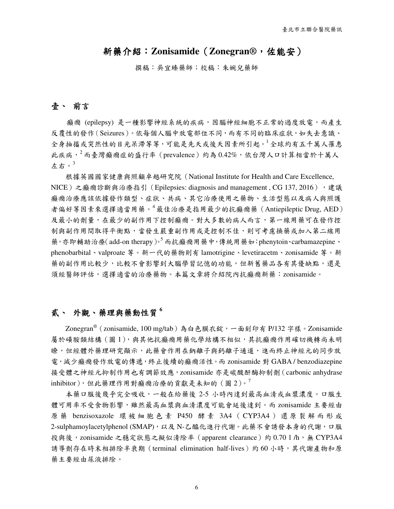## 新藥介紹:**Zonisamide**(**Zonegran®**,佐能安)

撰稿:吳宜臻藥師;校稿:朱婉兒藥師

### 壹、 前言

癲癇 (epilepsy) 是一種影響神經系統的疾病,因腦神經細胞不正常的過度放電,而產生 反覆性的發作(Seizures)。依每個人腦中放電部位不同,而有不同的臨床症狀,如失去意識、 全身抽搐或突然性的目光呆滯等等,可能是先天或後天因素所引起。<sup>1</sup> 全球約有五千萬人罹患 此疾病,<sup>2</sup>而臺灣癲癇症的盛行率(prevalence)約為 0.42%,依台灣人口計算相當於十萬人 左右。 $3$ 

根據英國國家健康與照顧卓越研究院(National Institute for Health and Care Excellence, NICE) 之癲癇診斷與治療指引 (Epilepsies: diagnosis and management, CG 137, 2016), 建議 癲癇治療應該依據發作類型、症狀、共病、其它治療使用之藥物、生活型態以及病人與照護 者偏好等因素來選擇適當用藥。<sup>4</sup> 最佳治療是指用最少的抗癲癇藥(Antiepileptic Drug, AED) 及最小的劑量,在最少的副作用下控制癲癇。對大多數的病人而言,第一線用藥可在發作控 制與副作用間取得平衡點,當發生嚴重副作用或是控制不佳,則可考慮換藥或加入第二線用 藥,亦即輔助治療(add-on therapy)。<sup>5</sup>而抗癲癇用藥中,傳統用藥如:phenytoin、carbamazepine、 phenobarbital、valproate 等。新一代的藥物則有 lamotrigine、levetiracetm、zonisamide 等。新 藥的副作用比較少,比較不會影響到大腦學習記憶的功能,但新舊藥品各有其優缺點,還是 須經醫師評估,選擇適當的治療藥物。本篇文章將介紹院內抗癲癇新藥:zonisamide。

## 貳、 外觀、藥理與藥動性質 **<sup>6</sup>**

Zonegran®(zonisamide, 100 mg/tab)為白色膜衣錠,一面刻印有 P/132 字樣。Zonisamide 屬於磺胺類結構(圖1),與其他抗癲癇用藥化學結構不相似,其抗癲癇作用確切機轉尚未明 瞭,但經體外藥理研究顯示,此藥會作用在鈉離子與鈣離子通道,進而終止神經元的同步放 電,減少癲癇發作放電的傳遞,終止後續的癲癇活性。而 zonisamide 對 GABA / benzodiazepine 接受體之神經元抑制作用也有調節效應,zonisamide 亦是碳酸酐酶抑制劑(carbonic anhydrase inhibitor),但此藥理作用對癲癇治療的貢獻是未知的(圖2)。

本藥口服後幾乎完全吸收,一般在給藥後 2-5 小時內達到最高血清或血漿濃度。口服生 體可用率不受食物影響,雖然最高血漿與血清濃度可能會延後達到。而 zonisamide 主要經由 原 藥 benzisoxazole 環 被 細 胞 色 素 P450 酵 素 3A4 ( CYP3A4 ) 還 原 裂 解 而 形 成 2-sulphamoylacetylphenol (SMAP),以及 N-乙醯化進行代謝。此藥不會誘發本身的代謝,口服 投與後,zonisamide 之穩定狀態之擬似清除率 (apparent clearance) 約 0.70 l /h,無 CYP3A4 誘導劑存在時末相排除半衰期 (terminal elimination half-lives) 約 60 小時,其代謝產物和原 藥主要經由尿液排除。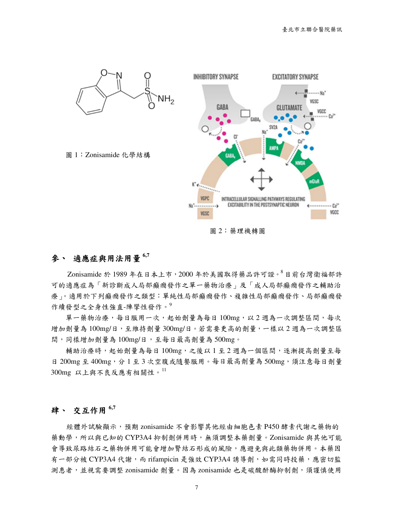

圖 2:藥理機轉圖

### 參、 適應症與用法用量 **6,7**

Zonisamide 於 1989年在日本上市, 2000年於美國取得藥品許可證。8目前台灣衛福部許 可的適應症為「新診斷成人局部癲癇發作之單一藥物治療」及「成人局部癲癇發作之輔助治 療」。適用於下列癲癇發作之類型:單純性局部癲癇發作、複雜性局部癲癇發作、局部癲癇發 作續發型之全身性強直-陣攣性發作。9

單一藥物治療,每日服用一次,起始劑量為每日100mg,以 2 週為一次調整區間,每次 增加劑量為 100mg/日,至維持劑量 300mg/日。若需要更高的劑量,一樣以 2 週為一次調整區 間,同樣增加劑量為 100mg/日,至每日最高劑量為 500mg。

輔助治療時,起始劑量為每日 100mg,之後以 1 至 2 週為一個區間,逐漸提高劑量至每 日 200mg 至 400mg,分 1 至 3 次空腹或隨餐服用。每日最高劑量為 500mg,須注意每日劑量 300mg 以上與不良反應有相關性。<sup>11</sup>

### 肆、 交互作用 **6,7**

經體外試驗顯示,預期 zonisamide 不會影響其他經由細胞色素 P450 酵素代謝之藥物的 藥動學,所以與已知的 CYP3A4 抑制劑併用時,無須調整本藥劑量。Zonisamide 與其他可能 會導致尿路結石之藥物併用可能會增加腎結石形成的風險,應避免與此類藥物併用。本藥因 有一部分被 CYP3A4 代謝,而 rifampicin 是強效 CYP3A4 誘導劑, 如需同時投藥,應密切監 測患者,並視需要調整 zonisamide 劑量。因為 zonisamide 也是碳酸酐酶抑制劑,須謹慎使用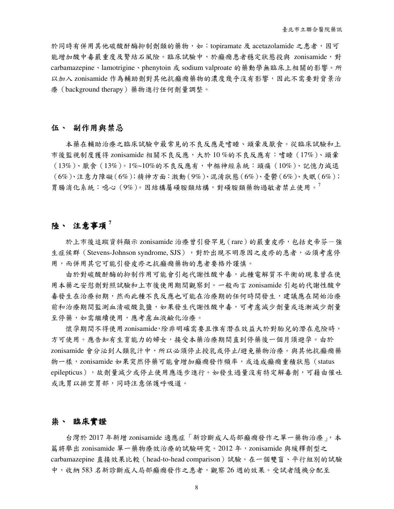於同時有併用其他碳酸酐酶抑制劑類的藥物,如:topiramate 及 acetazolamide 之患者,因可 能增加酸中毒嚴重度及腎結石風險。臨床試驗中,於癲癇患者穩定狀態投與 zonisamide,對 carbamazepine、lamotrigine、phenytoin 或 sodium valproate 的藥動學無臨床上相關的影響。所 以加入 zonisamide 作為輔助劑對其他抗癲癇藥物的濃度幾乎沒有影響,因此不需要對背景治 療(background therapy)藥物進行任何劑量調整。

### 伍、 副作用與禁忌

本藥在輔助治療之臨床試驗中最常見的不良反應是嗜睡、頭暈及厭食。從臨床試驗和上 市後監視制度獲得 zonisamide 相關不良反應,大於 10%的不良反應有: 嗜睡 (17%)、頭暈 (13%)、厭食(13%)。1%~10%的不良反應有,中樞神經系統:頭痛(10%)、記憶力減退 (6%)、注意力障礙(6%);精神方面:激動(9%)、混淆狀態(6%)、憂鬱(6%)、失眠(6%); 胃腸消化系統:噁心 (9%)。因結構屬磺胺類結構,對磺胺類藥物過敏者禁止使用。<sup>7</sup>

# 陸、 注意事項 **<sup>7</sup>**

於上市後追蹤資料顯示 zonisamide 治療曾引發罕見(rare)的嚴重皮疹,包括史帝芬-強 生症候群 ( Stevens-Johnson syndrome, SJS ) , 對於出現不明原因之皮疹的患者, 必須考慮停 用,而併用其它可能引發皮疹之抗癲癇藥物的患者要格外謹慎。

由於對碳酸酐酶的抑制作用可能會引起代謝性酸中毒,此種電解質不平衡的現象曾在使 用本藥之安慰劑對照試驗和上市後使用期間觀察到。一般而言 zonisamide 引起的代謝性酸中 毒發生在治療初期,然而此種不良反應也可能在治療期的任何時間發生,建議應在開始治療 前和治療期間監測血清碳酸氫鹽,如果發生代謝性酸中毒,可考慮減少劑量或逐漸減少劑量 至停藥,如需繼續使用,應考慮血液鹼化治療。

懷孕期間不得使用zonisamide,除非明確需要且惟有潛在效益大於對胎兒的潛在危險時, 方可使用。應告知有生育能力的婦女,接受本藥治療期間直到停藥後一個月須避孕。由於 zonisamide 會分泌到人類乳汁中,所以必須停止授乳或停止/避免藥物治療。與其他抗癲癇藥 物一樣,zonisamide 如果突然停藥可能會增加癲癇發作頻率,或造成癲癇重積狀態 (status epilepticus),故劑量減少或停止使用應逐步進行。如發生過量沒有特定解毒劑,可藉由催吐 或洗胃以排空胃部,同時注意保護呼吸道。

#### 柒、 臨床實證

台灣於 2017 年新增 zonisamide 適應症「新診斷成人局部癲癇發作之單一藥物治療」,本 篇將舉出 zonisamide 單一藥物療效治療的試驗研究。2012 年,zonisamide 與緩釋劑型之 carbamazepine 直接效果比較(head-to-head comparison)試驗。在一個雙盲、平行組別的試驗 中,收納 583 名新診斷成人局部癲癇發作之患者,觀察 26 週的效果。受試者隨機分配至

8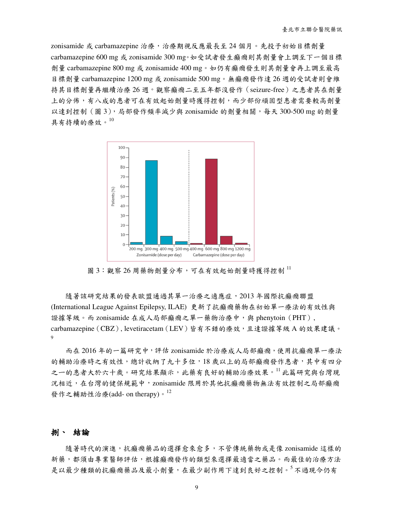zonisamide 或 carbamazepine 治療,治療期視反應最長至 24 個月。先投予初始目標劑量 carbamazepine 600 mg 或 zonisamide 300 mg。如受試者發生癲癇則其劑量會上調至下一個目標 劑量 carbamazepine 800 mg 或 zonisamide 400 mg。如仍有癲癇發生則其劑量會再上調至最高 目標劑量 carbamazepine 1200 mg 或 zonisamide 500 mg。無癲癇發作達 26 週的受試者則會維 持其目標劑量再繼續治療 26 週。觀察癲癇二至五年都沒發作(seizure-free)之患者其在劑量 上的分佈,有八成的患者可在有效起始劑量時獲得控制,而少部份頑固型患者需要較高劑量 以達到控制(圖 3),局部發作頻率減少與 zonisamide 的劑量相關,每天 300-500 mg 的劑量 具有持續的療效。<sup>10</sup>



圖 3: 觀察 26 周藥物劑量分布,可在有效起始劑量時獲得控制 $^{\mathrm{l}}$ 

隨著該研究結果的發表歐盟通過其單一治療之適應症,2013年國際抗癲癇聯盟 (International League Against Epilepsy, ILAE) 更新了抗癲癇藥物在初始單一療法的有效性與 證據等級。而 zonisamide 在成人局部癲癇之單一藥物治療中,與 phenytoin (PHT), carbamazepine (CBZ), levetiracetam (LEV)皆有不錯的療效,且達證據等級 A 的效果建議。 9

而在 2016 年的一篇研究中,評估 zonisamide 於治療成人局部癲癇,使用抗癲癇單一療法 的輔助治療時之有效性,總計收納了九十多位,18歲以上的局部癲癇發作患者,其中有四分 之一的患者大於六十歲。研究結果顯示,此藥有良好的輔助治療效果。11 此篇研究與台灣現 況相近,在台灣的健保規範中, zonisamide 限用於其他抗癲癇藥物無法有效控制之局部癲癇 發作之輔助性治療(add- on therapy)。<sup>12</sup>

#### 捌、 結論

隨著時代的演進,抗癲癇藥品的選擇愈來愈多,不管傳統藥物或是像 zonisamide 這樣的 新藥,都須由專業醫師評估,根據癲癇發作的類型來選擇最適當之藥品。而最佳的治療方法 是以最少種類的抗癲癇藥品及最小劑量,在最少副作用下達到良好之控制。<sup>5</sup> 不過現今仍有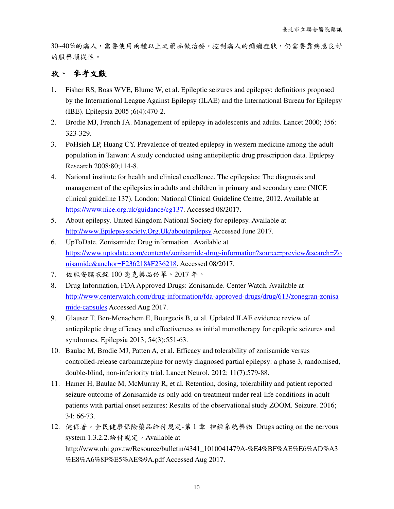30~40%的病人,需要使用兩種以上之藥品做治療。控制病人的癲癇症狀,仍需要靠病患良好 的服藥順從性。

# 玖、 參考文獻

- 1. Fisher RS, Boas WVE, Blume W, et al. Epileptic seizures and epilepsy: definitions proposed by the International League Against Epilepsy (ILAE) and the International Bureau for Epilepsy (IBE). Epilepsia 2005 ;6(4):470-2.
- 2. Brodie MJ, French JA. Management of epilepsy in adolescents and adults. Lancet 2000; 356: 323-329.
- 3. PoHsieh LP, Huang CY. Prevalence of treated epilepsy in western medicine among the adult population in Taiwan: A study conducted using antiepileptic drug prescription data. Epilepsy Research 2008;80;114-8.
- 4. National institute for health and clinical excellence. The epilepsies: The diagnosis and management of the epilepsies in adults and children in primary and secondary care (NICE clinical guideline 137). London: National Clinical Guideline Centre, 2012. Available at https://www.nice.org.uk/guidance/cg137. Accessed 08/2017.
- 5. About epilepsy. United Kingdom National Society for epilepsy. Available at http://www.Epilepsysociety.Org.Uk/aboutepilepsy Accessed June 2017.
- 6. UpToDate. Zonisamide: Drug information . Available at https://www.uptodate.com/contents/zonisamide-drug-information?source=preview&search=Zo nisamide&anchor=F236218#F236218. Accessed 08/2017.
- 7. 佐能安膜衣錠 100 毫克藥品仿單。2017 年。
- 8. Drug Information, FDA Approved Drugs: Zonisamide. Center Watch. Available at http://www.centerwatch.com/drug-information/fda-approved-drugs/drug/613/zonegran-zonisa mide-capsules Accessed Aug 2017.
- 9. Glauser T, Ben-Menachem E, Bourgeois B, et al. Updated ILAE evidence review of antiepileptic drug efficacy and effectiveness as initial monotherapy for epileptic seizures and syndromes. Epilepsia 2013; 54(3):551-63.
- 10. Baulac M, Brodie MJ, Patten A, et al. Efficacy and tolerability of zonisamide versus controlled-release carbamazepine for newly diagnosed partial epilepsy: a phase 3, randomised, double-blind, non-inferiority trial. Lancet Neurol. 2012; 11(7):579-88.
- 11. Hamer H, Baulac M, McMurray R, et al. Retention, dosing, tolerability and patient reported seizure outcome of Zonisamide as only add-on treatment under real-life conditions in adult patients with partial onset seizures: Results of the observational study ZOOM. Seizure. 2016; 34: 66-73.
- 12. 健保署。全民健康保險藥品給付規定-第 1 章 神經系統藥物 Drugs acting on the nervous system 1.3.2.2.給付規定。Available at http://www.nhi.gov.tw/Resource/bulletin/4341\_1010041479A-%E4%BF%AE%E6%AD%A3 %E8%A6%8F%E5%AE%9A.pdf Accessed Aug 2017.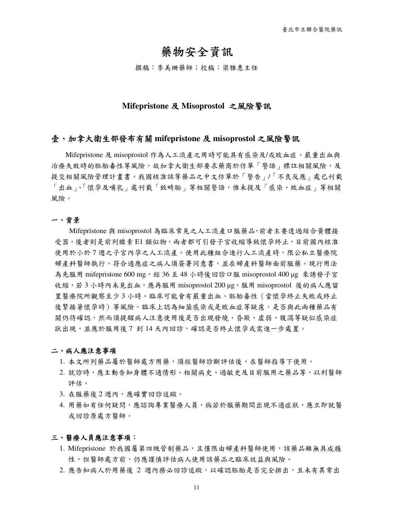# 藥物安全資訊

撰稿:李美珊藥師;校稿:梁雅惠主任

#### **Mifepristone** 及 **Misoprostol** 之風險警訊

#### 香、加拿大衛生部發布有關 mifepristone 及 misoprostol 之風險警訊

 Mifepristone 及 misoprostol 作為人工流產之用時可能具有感染及/或敗血症、嚴重出血與 治療失敗時的胚胎毒性等風險,故加拿大衛生部要求藥商於仿單「警語」標註相關風險,及 提交相關風險管理計畫書。我國核准該等藥品之中文仿單於「警告」/「不良反應」處已刊載 「出血」、「懷孕及哺乳」處刊載「致畸胎」等相關警語,惟未提及「感染、敗血症」等相關 風險。

#### 一、背景

 Mifepristone 與 misoprostol 為臨床常見之人工流產口服藥品,前者主要透過結合黃體接 受器,後者則是前列腺素 E1 類似物,兩者都可引發子宮收縮導致懷孕終止,目前國內核准 使用於小於7週之子宮內孕之人工流產。使用此種組合進行人工流產時,限公私立醫療院 婦產科醫師執行,符合適應症之病人須簽署同意書,並在婦產科醫師面前服藥。現行用法 為先服用 mifepristone 600 mg, 經 36 至 48 小時後回診口服 misoprostol 400 µg 來誘發子宮 收縮,若 3 小時內未見出血,應再服用 misoprostol 200 μg。服用 misoprostol 後的病人應留 置醫療院所觀察至少 3 小時。臨床可能會有嚴重出血、胚胎毒性(當懷孕終止失敗或終止 後緊接著懷孕時)等風險。臨床上認為細菌感染或是敗血症等疑慮,是否與此兩種藥品有 關仍待確認,然而須提醒病人注意使用後是否出現發燒、昏厥、虛弱、腹瀉等疑似感染症 狀出現,並應於服用後 7 到 14 天內回診,確認是否終止懷孕或需進一步處置。

#### 二、病人應注意事項

- 1. 本文所列藥品屬於醫師處方用藥,須經醫師診斷評估後,在醫師指導下使用。
- 2. 就診時,應主動告知身體不適情形、相關病史、過敏史及目前服用之藥品等,以利醫師 評估。
- 3. 在服藥後2週內,應確實回診追蹤。
- 4. 用藥如有任何疑問,應諮詢專業醫療人員,倘若於服藥期間出現不適症狀,應立即就醫 或回診原處方醫師。

#### 三、醫療人員應注意事項:

- 1. Mifepristone 於我國屬第四級管制藥品,且僅限由婦產科醫師使用,該藥品雖無具成癮 性,但醫師處方前,仍應謹慎評估病人使用該藥品之臨床效益與風險。
- 2. 應告知病人於用藥後 2 週內務必回診追蹤,以確認胚胎是否完全排出,且未有異常出